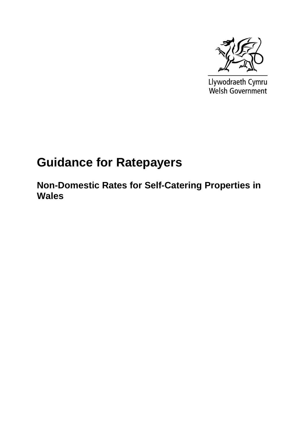

Llywodraeth Cymru<br>Welsh Government

## **Guidance for Ratepayers**

**Non-Domestic Rates for Self-Catering Properties in Wales**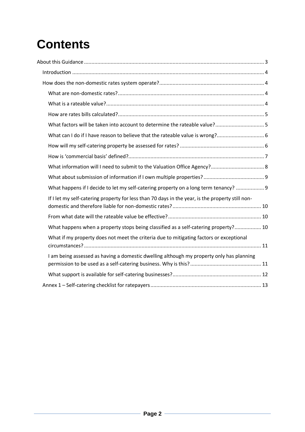# **Contents**

| What can I do if I have reason to believe that the rateable value is wrong?                      |
|--------------------------------------------------------------------------------------------------|
|                                                                                                  |
|                                                                                                  |
|                                                                                                  |
|                                                                                                  |
| What happens if I decide to let my self-catering property on a long term tenancy?  9             |
| If I let my self-catering property for less than 70 days in the year, is the property still non- |
|                                                                                                  |
| What happens when a property stops being classified as a self-catering property? 10              |
| What if my property does not meet the criteria due to mitigating factors or exceptional          |
| I am being assessed as having a domestic dwelling although my property only has planning         |
|                                                                                                  |
|                                                                                                  |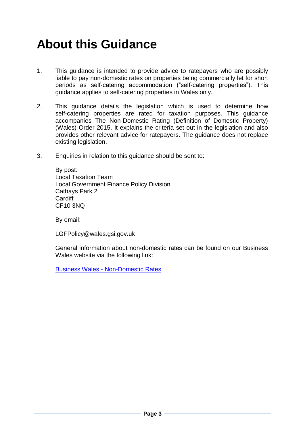## <span id="page-2-0"></span>**About this Guidance**

- 1. This guidance is intended to provide advice to ratepayers who are possibly liable to pay non-domestic rates on properties being commercially let for short periods as self-catering accommodation ("self-catering properties"). This guidance applies to self-catering properties in Wales only.
- 2. This guidance details the legislation which is used to determine how self-catering properties are rated for taxation purposes. This guidance accompanies The Non-Domestic Rating (Definition of Domestic Property) (Wales) Order 2015. It explains the criteria set out in the legislation and also provides other relevant advice for ratepayers. The guidance does not replace existing legislation.
- 3. Enquiries in relation to this guidance should be sent to:

By post: Local Taxation Team Local Government Finance Policy Division Cathays Park 2 **Cardiff** CF10 3NQ

By email:

LGFPolicy@wales.gsi.gov.uk

General information about non-domestic rates can be found on our Business Wales website via the following link:

<span id="page-2-1"></span>Business Wales - [Non-Domestic Rates](http://business.wales.gov.uk/running-business/tax-corporation-tax-allowances-business-rates-vat/business-rates-relief-in-wales)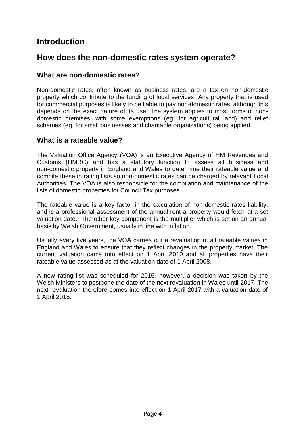## **Introduction**

### <span id="page-3-0"></span>**How does the non-domestic rates system operate?**

#### <span id="page-3-1"></span>**What are non-domestic rates?**

Non-domestic rates, often known as business rates, are a tax on non-domestic property which contribute to the funding of local services. Any property that is used for commercial purposes is likely to be liable to pay non-domestic rates, although this depends on the exact nature of its use. The system applies to most forms of nondomestic premises, with some exemptions (eg. for agricultural land) and relief schemes (eg. for small businesses and charitable organisations) being applied.

#### <span id="page-3-2"></span>**What is a rateable value?**

The Valuation Office Agency (VOA) is an Executive Agency of HM Revenues and Customs (HMRC) and has a statutory function to assess all business and non-domestic property in England and Wales to determine their rateable value and compile these in rating lists so non-domestic rates can be charged by relevant Local Authorities. The VOA is also responsible for the compilation and maintenance of the lists of domestic properties for Council Tax purposes.

The rateable value is a key factor in the calculation of non-domestic rates liability, and is a professional assessment of the annual rent a property would fetch at a set valuation date. The other key component is the multiplier which is set on an annual basis by Welsh Government, usually in line with inflation.

Usually every five years, the VOA carries out a revaluation of all rateable values in England and Wales to ensure that they reflect changes in the property market. The current valuation came into effect on 1 April 2010 and all properties have their rateable value assessed as at the valuation date of 1 April 2008.

<span id="page-3-3"></span>A new rating list was scheduled for 2015, however, a decision was taken by the Welsh Ministers to postpone the date of the next revaluation in Wales until 2017. The next revaluation therefore comes into effect on 1 April 2017 with a valuation date of 1 April 2015.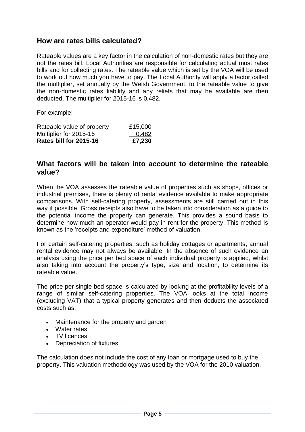#### **How are rates bills calculated?**

Rateable values are a key factor in the calculation of non-domestic rates but they are not the rates bill. Local Authorities are responsible for calculating actual most rates bills and for collecting rates. The rateable value which is set by the VOA will be used to work out how much you have to pay. The Local Authority will apply a factor called the multiplier, set annually by the Welsh Government, to the rateable value to give the non-domestic rates liability and any reliefs that may be available are then deducted. The multiplier for 2015-16 is 0.482.

For example:

| Rateable value of property | £15,000 |
|----------------------------|---------|
| Multiplier for 2015-16     | 0.482   |
| Rates bill for 2015-16     | £7,230  |

#### <span id="page-4-0"></span>**What factors will be taken into account to determine the rateable value?**

When the VOA assesses the rateable value of properties such as shops, offices or industrial premises, there is plenty of rental evidence available to make appropriate comparisons. With self-catering property, assessments are still carried out in this way if possible. Gross receipts also have to be taken into consideration as a guide to the potential income the property can generate. This provides a sound basis to determine how much an operator would pay in rent for the property. This method is known as the 'receipts and expenditure' method of valuation.

For certain self-catering properties, such as holiday cottages or apartments, annual rental evidence may not always be available. In the absence of such evidence an analysis using the price per bed space of each individual [property](http://www.2010.voa.gov.uk/rli/static/HelpPages/English/faqs/faq124-where_info_about_my_holiday_cottages_come_from.html) is applied, whilst also taking into account the property's type**,** size and location, to determine its rateable value.

The price per single bed space is calculated by looking at the profitability levels of a range of similar self-catering properties. The VOA looks at the total income (excluding VAT) that a typical property generates and then deducts the associated costs such as:

- Maintenance for the property and garden
- Water rates
- TV licences
- Depreciation of fixtures.

The calculation does not include the cost of any loan or mortgage used to buy the property. This valuation methodology was used by the VOA for the 2010 valuation.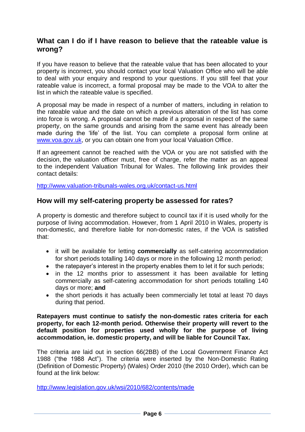#### <span id="page-5-0"></span>**What can I do if I have reason to believe that the rateable value is wrong?**

If you have reason to believe that the rateable value that has been allocated to your property is incorrect, you should contact your local Valuation Office who will be able to deal with your enquiry and respond to your questions. If you still feel that your rateable value is incorrect, a formal proposal may be made to the VOA to alter the list in which the rateable value is specified.

A proposal may be made in respect of a number of matters, including in relation to the rateable value and the date on which a previous alteration of the list has come into force is wrong. A proposal cannot be made if a proposal in respect of the same property, on the same grounds and arising from the same event has already been made during the 'life' of the list. You can complete a proposal form online at [www.voa.gov.uk,](http://www.voa.gov.uk/) or you can obtain one from your local Valuation Office.

If an agreement cannot be reached with the VOA or you are not satisfied with the decision, the valuation officer must, free of charge, refer the matter as an appeal to the independent Valuation Tribunal for Wales. The following link provides their contact details:

<http://www.valuation-tribunals-wales.org.uk/contact-us.html>

#### <span id="page-5-1"></span>**How will my self-catering property be assessed for rates?**

A property is domestic and therefore subject to council tax if it is used wholly for the purpose of living accommodation. However, from 1 April 2010 in Wales, property is non-domestic, and therefore liable for non-domestic rates, if the VOA is satisfied that:

- it will be available for letting **commercially** as self-catering accommodation for short periods totalling 140 days or more in the following 12 month period;
- the ratepayer's interest in the property enables them to let it for such periods;
- in the 12 months prior to assessment it has been available for letting commercially as self-catering accommodation for short periods totalling 140 days or more; **and**
- the short periods it has actually been commercially let total at least 70 days during that period.

**Ratepayers must continue to satisfy the non-domestic rates criteria for each property, for each 12-month period. Otherwise their property will revert to the default position for properties used wholly for the purpose of living accommodation, ie. domestic property, and will be liable for Council Tax.** 

The criteria are laid out in section 66(2BB) of the Local Government Finance Act 1988 ("the 1988 Act"). The criteria were inserted by the Non-Domestic Rating (Definition of Domestic Property) (Wales) Order 2010 (the 2010 Order), which can be found at the link below:

<http://www.legislation.gov.uk/wsi/2010/682/contents/made>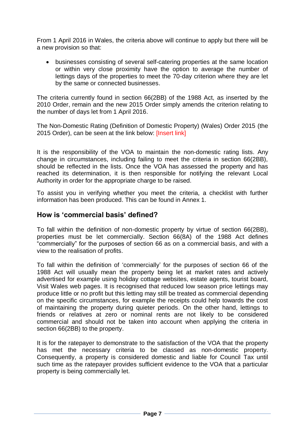From 1 April 2016 in Wales, the criteria above will continue to apply but there will be a new provision so that:

 businesses consisting of several self-catering properties at the same location or within very close proximity have the option to average the number of lettings days of the properties to meet the 70-day criterion where they are let by the same or connected businesses.

The criteria currently found in section 66(2BB) of the 1988 Act, as inserted by the 2010 Order, remain and the new 2015 Order simply amends the criterion relating to the number of days let from 1 April 2016.

The Non-Domestic Rating (Definition of Domestic Property) (Wales) Order 2015 (the 2015 Order), can be seen at the link below: [Insert link]

It is the responsibility of the VOA to maintain the non-domestic rating lists. Any change in circumstances, including failing to meet the criteria in section 66(2BB), should be reflected in the lists. Once the VOA has assessed the property and has reached its determination, it is then responsible for notifying the relevant Local Authority in order for the appropriate charge to be raised.

To assist you in verifying whether you meet the criteria, a checklist with further information has been produced. This can be found in Annex 1.

#### <span id="page-6-0"></span>**How is 'commercial basis' defined?**

To fall within the definition of non-domestic property by virtue of section 66(2BB), properties must be let commercially. Section 66(8A) of the 1988 Act defines "commercially" for the purposes of section 66 as on a commercial basis, and with a view to the realisation of profits.

To fall within the definition of 'commercially' for the purposes of section 66 of the 1988 Act will usually mean the property being let at market rates and actively advertised for example using holiday cottage websites, estate agents, tourist board, Visit Wales web pages. It is recognised that reduced low season price lettings may produce little or no profit but this letting may still be treated as commercial depending on the specific circumstances, for example the receipts could help towards the cost of maintaining the property during quieter periods. On the other hand, lettings to friends or relatives at zero or nominal rents are not likely to be considered commercial and should not be taken into account when applying the criteria in section 66(2BB) to the property.

It is for the ratepayer to demonstrate to the satisfaction of the VOA that the property has met the necessary criteria to be classed as non-domestic property. Consequently, a property is considered domestic and liable for Council Tax until such time as the ratepayer provides sufficient evidence to the VOA that a particular property is being commercially let.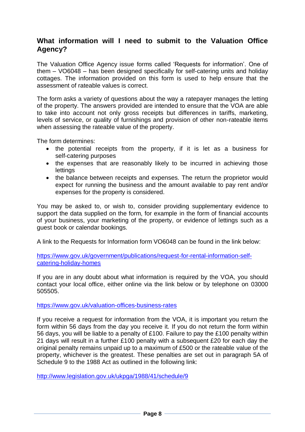#### <span id="page-7-0"></span>**What information will I need to submit to the Valuation Office Agency?**

The Valuation Office Agency issue forms called 'Requests for information'. One of them – VO6048 – has been designed specifically for self-catering units and holiday cottages. The information provided on this form is used to help ensure that the assessment of rateable values is correct.

The form asks a variety of questions about the way a ratepayer manages the letting of the property. The answers provided are intended to ensure that the VOA are able to take into account not only gross receipts but differences in tariffs, marketing, levels of service, or quality of furnishings and provision of other non-rateable items when assessing the rateable value of the property.

The form determines:

- the potential receipts from the property, if it is let as a business for self-catering purposes
- the expenses that are reasonably likely to be incurred in achieving those **lettings**
- the balance between receipts and expenses. The return the proprietor would expect for running the business and the amount available to pay rent and/or expenses for the property is considered.

You may be asked to, or wish to, consider providing supplementary evidence to support the data supplied on the form, for example in the form of financial accounts of your business, your marketing of the property, or evidence of lettings such as a guest book or calendar bookings.

A link to the Requests for Information form VO6048 can be found in the link below:

[https://www.gov.uk/government/publications/request-for-rental-information-self](https://www.gov.uk/government/publications/request-for-rental-information-self-catering-holiday-homes)[catering-holiday-homes](https://www.gov.uk/government/publications/request-for-rental-information-self-catering-holiday-homes)

If you are in any doubt about what information is required by the VOA, you should contact your local office, either online via the link below or by telephone on 03000 505505.

<https://www.gov.uk/valuation-offices-business-rates>

If you receive a request for information from the VOA, it is important you return the form within 56 days from the day you receive it. If you do not return the form within 56 days, you will be liable to a penalty of £100. Failure to pay the £100 penalty within 21 days will result in a further £100 penalty with a subsequent £20 for each day the original penalty remains unpaid up to a maximum of £500 or the rateable value of the property, whichever is the greatest. These penalties are set out in paragraph 5A of Schedule 9 to the 1988 Act as outlined in the following link:

<http://www.legislation.gov.uk/ukpga/1988/41/schedule/9>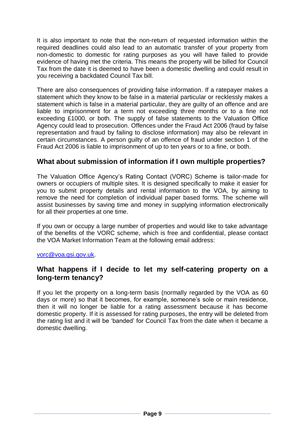It is also important to note that the non-return of requested information within the required deadlines could also lead to an automatic transfer of your property from non-domestic to domestic for rating purposes as you will have failed to provide evidence of having met the criteria. This means the property will be billed for Council Tax from the date it is deemed to have been a domestic dwelling and could result in you receiving a backdated Council Tax bill.

There are also consequences of providing false information. If a ratepayer makes a statement which they know to be false in a material particular or recklessly makes a statement which is false in a material particular, they are guilty of an offence and are liable to imprisonment for a term not exceeding three months or to a fine not exceeding £1000, or both. The supply of false statements to the Valuation Office Agency could lead to prosecution. Offences under the Fraud Act 2006 (fraud by false representation and fraud by failing to disclose information) may also be relevant in certain circumstances. A person guilty of an offence of fraud under section 1 of the Fraud Act 2006 is liable to imprisonment of up to ten years or to a fine, or both.

#### <span id="page-8-0"></span>**What about submission of information if I own multiple properties?**

The Valuation Office Agency's Rating Contact (VORC) Scheme is tailor-made for owners or occupiers of multiple sites. It is designed specifically to make it easier for you to submit property details and rental information to the VOA, by aiming to remove the need for completion of individual paper based forms. The scheme will assist businesses by saving time and money in supplying information electronically for all their properties at one time.

If you own or occupy a large number of properties and would like to take advantage of the benefits of the VORC scheme, which is free and confidential, please contact the VOA Market Information Team at the following email address:

[vorc@voa.gsi.gov.uk.](mailto:vorc@voa.gsi.gov.uk)

#### <span id="page-8-1"></span>**What happens if I decide to let my self-catering property on a long-term tenancy?**

If you let the property on a long-term basis (normally regarded by the VOA as 60 days or more) so that it becomes, for example, someone's sole or main residence, then it will no longer be liable for a rating assessment because it has become domestic property. If it is assessed for rating purposes, the entry will be deleted from the rating list and it will be 'banded' for Council Tax from the date when it became a domestic dwelling.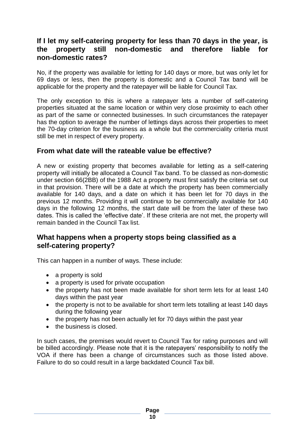#### <span id="page-9-0"></span>**If I let my self-catering property for less than 70 days in the year, is the property still non-domestic and therefore liable for non-domestic rates?**

No, if the property was available for letting for 140 days or more, but was only let for 69 days or less, then the property is domestic and a Council Tax band will be applicable for the property and the ratepayer will be liable for Council Tax.

The only exception to this is where a ratepayer lets a number of self-catering properties situated at the same location or within very close proximity to each other as part of the same or connected businesses. In such circumstances the ratepayer has the option to average the number of lettings days across their properties to meet the 70-day criterion for the business as a whole but the commerciality criteria must still be met in respect of every property.

#### <span id="page-9-1"></span>**From what date will the rateable value be effective?**

A new or existing property that becomes available for letting as a self-catering property will initially be allocated a Council Tax band. To be classed as non-domestic under section 66(2BB) of the 1988 Act a property must first satisfy the criteria set out in that provision. There will be a date at which the property has been commercially available for 140 days, and a date on which it has been let for 70 days in the previous 12 months. Providing it will continue to be commercially available for 140 days in the following 12 months, the start date will be from the later of these two dates. This is called the 'effective date'. If these criteria are not met, the property will remain banded in the Council Tax list.

#### <span id="page-9-2"></span>**What happens when a property stops being classified as a self-catering property?**

This can happen in a number of ways. These include:

- a property is sold
- a property is used for private occupation
- the property has not been made available for short term lets for at least 140 days within the past year
- the property is not to be available for short term lets totalling at least 140 days during the following year
- the property has not been actually let for 70 days within the past year
- the business is closed.

In such cases, the premises would revert to Council Tax for rating purposes and will be billed accordingly. Please note that it is the ratepayers' responsibility to notify the VOA if there has been a change of circumstances such as those listed above. Failure to do so could result in a large backdated Council Tax bill.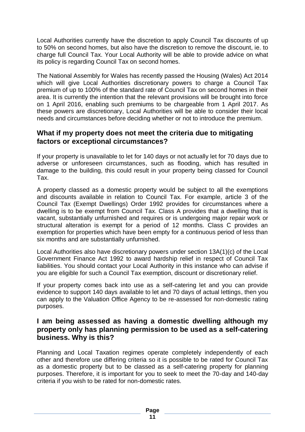Local Authorities currently have the discretion to apply Council Tax discounts of up to 50% on second homes, but also have the discretion to remove the discount, ie. to charge full Council Tax. Your Local Authority will be able to provide advice on what its policy is regarding Council Tax on second homes.

The National Assembly for Wales has recently passed the Housing (Wales) Act 2014 which will give Local Authorities discretionary powers to charge a Council Tax premium of up to 100% of the standard rate of Council Tax on second homes in their area. It is currently the intention that the relevant provisions will be brought into force on 1 April 2016, enabling such premiums to be chargeable from 1 April 2017. As these powers are discretionary, Local Authorities will be able to consider their local needs and circumstances before deciding whether or not to introduce the premium.

#### <span id="page-10-0"></span>**What if my property does not meet the criteria due to mitigating factors or exceptional circumstances?**

If your property is unavailable to let for 140 days or not actually let for 70 days due to adverse or unforeseen circumstances, such as flooding, which has resulted in damage to the building, this could result in your property being classed for Council Tax.

A property classed as a domestic property would be subject to all the exemptions and discounts available in relation to Council Tax. For example, article 3 of the Council Tax (Exempt Dwellings) Order 1992 provides for circumstances where a dwelling is to be exempt from Council Tax. Class A provides that a dwelling that is vacant, substantially unfurnished and requires or is undergoing major repair work or structural alteration is exempt for a period of 12 months. Class C provides an exemption for properties which have been empty for a continuous period of less than six months and are substantially unfurnished.

Local Authorities also have discretionary powers under section 13A(1)(c) of the Local Government Finance Act 1992 to award hardship relief in respect of Council Tax liabilities. You should contact your Local Authority in this instance who can advise if you are eligible for such a Council Tax exemption, discount or discretionary relief.

If your property comes back into use as a self-catering let and you can provide evidence to support 140 days available to let and 70 days of actual lettings, then you can apply to the Valuation Office Agency to be re-assessed for non-domestic rating purposes.

#### <span id="page-10-1"></span>**I am being assessed as having a domestic dwelling although my property only has planning permission to be used as a self-catering business. Why is this?**

Planning and Local Taxation regimes operate completely independently of each other and therefore use differing criteria so it is possible to be rated for Council Tax as a domestic property but to be classed as a self-catering property for planning purposes. Therefore, it is important for you to seek to meet the 70-day and 140-day criteria if you wish to be rated for non-domestic rates.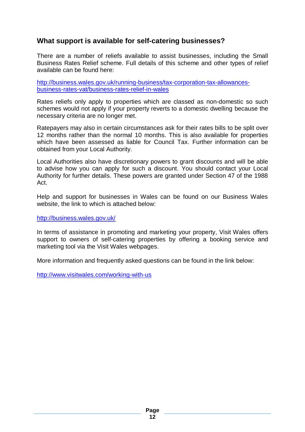#### <span id="page-11-0"></span>**What support is available for self-catering businesses?**

There are a number of reliefs available to assist businesses, including the Small Business Rates Relief scheme. Full details of this scheme and other types of relief available can be found here:

[http://business.wales.gov.uk/running-business/tax-corporation-tax-allowances](http://business.wales.gov.uk/running-business/tax-corporation-tax-allowances-business-rates-vat/business-rates-relief-in-wales)[business-rates-vat/business-rates-relief-in-wales](http://business.wales.gov.uk/running-business/tax-corporation-tax-allowances-business-rates-vat/business-rates-relief-in-wales)

Rates reliefs only apply to properties which are classed as non-domestic so such schemes would not apply if your property reverts to a domestic dwelling because the necessary criteria are no longer met.

Ratepayers may also in certain circumstances ask for their rates bills to be split over 12 months rather than the normal 10 months. This is also available for properties which have been assessed as liable for Council Tax. Further information can be obtained from your Local Authority.

Local Authorities also have discretionary powers to grant discounts and will be able to advise how you can apply for such a discount. You should contact your Local Authority for further details. These powers are granted under Section 47 of the 1988 Act.

Help and support for businesses in Wales can be found on our Business Wales website, the link to which is attached below:

<http://business.wales.gov.uk/>

In terms of assistance in promoting and marketing your property, Visit Wales offers support to owners of self-catering properties by offering a booking service and marketing tool via the Visit Wales webpages.

More information and frequently asked questions can be found in the link below:

<span id="page-11-1"></span><http://www.visitwales.com/working-with-us>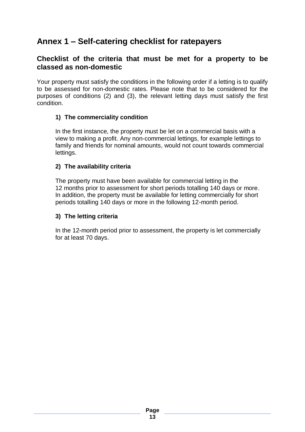## **Annex 1 – Self-catering checklist for ratepayers**

#### **Checklist of the criteria that must be met for a property to be classed as non-domestic**

Your property must satisfy the conditions in the following order if a letting is to qualify to be assessed for non-domestic rates. Please note that to be considered for the purposes of conditions (2) and (3), the relevant letting days must satisfy the first condition.

#### **1) The commerciality condition**

In the first instance, the property must be let on a commercial basis with a view to making a profit. Any non-commercial lettings, for example lettings to family and friends for nominal amounts, would not count towards commercial lettings.

#### **2) The availability criteria**

The property must have been available for commercial letting in the 12 months prior to assessment for short periods totalling 140 days or more. In addition, the property must be available for letting commercially for short periods totalling 140 days or more in the following 12-month period.

#### **3) The letting criteria**

In the 12-month period prior to assessment, the property is let commercially for at least 70 days.